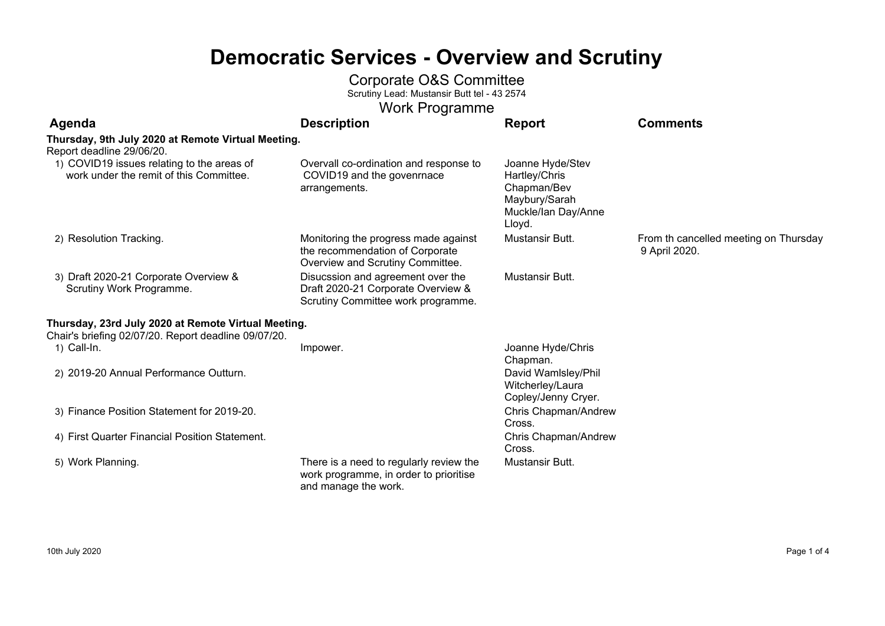## **Democratic Services - Overview and Scrutiny**

#### Corporate O&S Committee

Scrutiny Lead: Mustansir Butt tel - 43 2574

| <b>Work Programme</b>                                                                                       |                                                                                                               |                                                                                                    |                                                        |  |
|-------------------------------------------------------------------------------------------------------------|---------------------------------------------------------------------------------------------------------------|----------------------------------------------------------------------------------------------------|--------------------------------------------------------|--|
| Agenda                                                                                                      | <b>Description</b>                                                                                            | <b>Report</b>                                                                                      | <b>Comments</b>                                        |  |
| Thursday, 9th July 2020 at Remote Virtual Meeting.<br>Report deadline 29/06/20.                             |                                                                                                               |                                                                                                    |                                                        |  |
| 1) COVID19 issues relating to the areas of<br>work under the remit of this Committee.                       | Overvall co-ordination and response to<br>COVID19 and the govenrnace<br>arrangements.                         | Joanne Hyde/Stev<br>Hartley/Chris<br>Chapman/Bev<br>Maybury/Sarah<br>Muckle/lan Day/Anne<br>Lloyd. |                                                        |  |
| 2) Resolution Tracking.                                                                                     | Monitoring the progress made against<br>the recommendation of Corporate<br>Overview and Scrutiny Committee.   | Mustansir Butt.                                                                                    | From th cancelled meeting on Thursday<br>9 April 2020. |  |
| 3) Draft 2020-21 Corporate Overview &<br>Scrutiny Work Programme.                                           | Disucssion and agreement over the<br>Draft 2020-21 Corporate Overview &<br>Scrutiny Committee work programme. | Mustansir Butt.                                                                                    |                                                        |  |
| Thursday, 23rd July 2020 at Remote Virtual Meeting.<br>Chair's briefing 02/07/20. Report deadline 09/07/20. |                                                                                                               |                                                                                                    |                                                        |  |
| 1) Call-In.                                                                                                 | Impower.                                                                                                      | Joanne Hyde/Chris<br>Chapman.                                                                      |                                                        |  |
| 2) 2019-20 Annual Performance Outturn.                                                                      |                                                                                                               | David Wamlsley/Phil<br>Witcherley/Laura<br>Copley/Jenny Cryer.                                     |                                                        |  |
| 3) Finance Position Statement for 2019-20.                                                                  |                                                                                                               | Chris Chapman/Andrew<br>Cross.                                                                     |                                                        |  |
| 4) First Quarter Financial Position Statement.                                                              |                                                                                                               | Chris Chapman/Andrew<br>Cross.                                                                     |                                                        |  |
| 5) Work Planning.                                                                                           | There is a need to regularly review the<br>work programme, in order to prioritise<br>and manage the work.     | Mustansir Butt.                                                                                    |                                                        |  |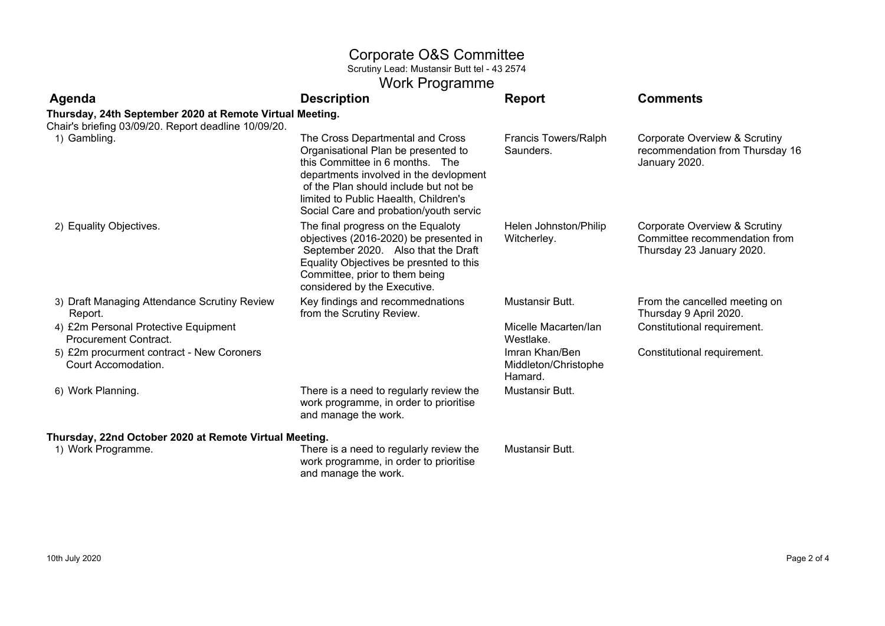### Corporate O&S Committee

Scrutiny Lead: Mustansir Butt tel - 43 2574

## Work Programme

| Agenda                                                               | <b>Description</b>                                                                                                                                                                                                                                                               | <b>Report</b>                                     | <b>Comments</b>                                                                             |
|----------------------------------------------------------------------|----------------------------------------------------------------------------------------------------------------------------------------------------------------------------------------------------------------------------------------------------------------------------------|---------------------------------------------------|---------------------------------------------------------------------------------------------|
| Thursday, 24th September 2020 at Remote Virtual Meeting.             |                                                                                                                                                                                                                                                                                  |                                                   |                                                                                             |
| Chair's briefing 03/09/20. Report deadline 10/09/20.                 |                                                                                                                                                                                                                                                                                  |                                                   |                                                                                             |
| 1) Gambling.                                                         | The Cross Departmental and Cross<br>Organisational Plan be presented to<br>this Committee in 6 months. The<br>departments involved in the devlopment<br>of the Plan should include but not be<br>limited to Public Haealth, Children's<br>Social Care and probation/youth servic | Francis Towers/Ralph<br>Saunders.                 | Corporate Overview & Scrutiny<br>recommendation from Thursday 16<br>January 2020.           |
| 2) Equality Objectives.                                              | The final progress on the Equaloty<br>objectives (2016-2020) be presented in<br>September 2020. Also that the Draft<br>Equality Objectives be presnted to this<br>Committee, prior to them being<br>considered by the Executive.                                                 | Helen Johnston/Philip<br>Witcherley.              | Corporate Overview & Scrutiny<br>Committee recommendation from<br>Thursday 23 January 2020. |
| 3) Draft Managing Attendance Scrutiny Review<br>Report.              | Key findings and recommednations<br>from the Scrutiny Review.                                                                                                                                                                                                                    | Mustansir Butt.                                   | From the cancelled meeting on<br>Thursday 9 April 2020.                                     |
| 4) £2m Personal Protective Equipment<br><b>Procurement Contract.</b> |                                                                                                                                                                                                                                                                                  | Micelle Macarten/lan<br>Westlake.                 | Constitutional requirement.                                                                 |
| 5) £2m procurment contract - New Coroners<br>Court Accomodation.     |                                                                                                                                                                                                                                                                                  | Imran Khan/Ben<br>Middleton/Christophe<br>Hamard. | Constitutional requirement.                                                                 |
| 6) Work Planning.                                                    | There is a need to regularly review the<br>work programme, in order to prioritise<br>and manage the work.                                                                                                                                                                        | Mustansir Butt.                                   |                                                                                             |
| Thursday, 22nd October 2020 at Remote Virtual Meeting.               |                                                                                                                                                                                                                                                                                  |                                                   |                                                                                             |
| 1) Work Programme.                                                   | There is a need to regularly review the<br>work programme, in order to prioritise                                                                                                                                                                                                | Mustansir Butt.                                   |                                                                                             |

and manage the work.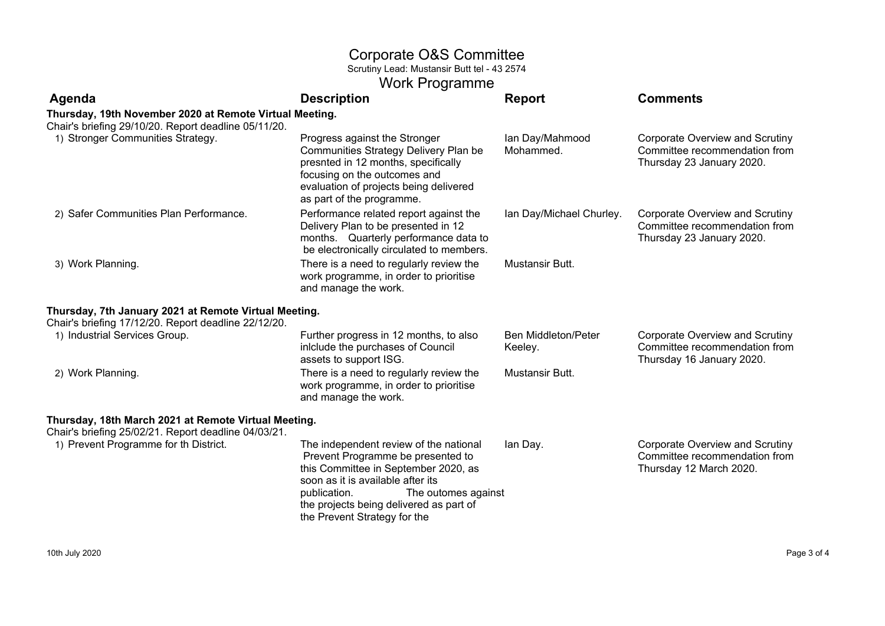#### Corporate O&S Committee

Scrutiny Lead: Mustansir Butt tel - 43 2574

|            | <b>Work Programme</b> |     |
|------------|-----------------------|-----|
| escrintion |                       | Rei |

| Agenda                                                                                                          | <b>Description</b>                                                                                                                                                                                                                                                         | <b>Report</b>                         | <b>Comments</b>                                                                                      |
|-----------------------------------------------------------------------------------------------------------------|----------------------------------------------------------------------------------------------------------------------------------------------------------------------------------------------------------------------------------------------------------------------------|---------------------------------------|------------------------------------------------------------------------------------------------------|
| Thursday, 19th November 2020 at Remote Virtual Meeting.<br>Chair's briefing 29/10/20. Report deadline 05/11/20. |                                                                                                                                                                                                                                                                            |                                       |                                                                                                      |
| 1) Stronger Communities Strategy.                                                                               | Progress against the Stronger<br>Communities Strategy Delivery Plan be<br>presnted in 12 months, specifically<br>focusing on the outcomes and<br>evaluation of projects being delivered<br>as part of the programme.                                                       | Ian Day/Mahmood<br>Mohammed.          | Corporate Overview and Scrutiny<br>Committee recommendation from<br>Thursday 23 January 2020.        |
| 2) Safer Communities Plan Performance.                                                                          | Performance related report against the<br>Delivery Plan to be presented in 12<br>months. Quarterly performance data to<br>be electronically circulated to members.                                                                                                         | Ian Day/Michael Churley.              | Corporate Overview and Scrutiny<br>Committee recommendation from<br>Thursday 23 January 2020.        |
| 3) Work Planning.                                                                                               | There is a need to regularly review the<br>work programme, in order to prioritise<br>and manage the work.                                                                                                                                                                  | Mustansir Butt.                       |                                                                                                      |
| Thursday, 7th January 2021 at Remote Virtual Meeting.<br>Chair's briefing 17/12/20. Report deadline 22/12/20.   |                                                                                                                                                                                                                                                                            |                                       |                                                                                                      |
| 1) Industrial Services Group.                                                                                   | Further progress in 12 months, to also<br>inlclude the purchases of Council<br>assets to support ISG.                                                                                                                                                                      | <b>Ben Middleton/Peter</b><br>Keeley. | <b>Corporate Overview and Scrutiny</b><br>Committee recommendation from<br>Thursday 16 January 2020. |
| 2) Work Planning.                                                                                               | There is a need to regularly review the<br>work programme, in order to prioritise<br>and manage the work.                                                                                                                                                                  | Mustansir Butt.                       |                                                                                                      |
| Thursday, 18th March 2021 at Remote Virtual Meeting.<br>Chair's briefing 25/02/21. Report deadline 04/03/21.    |                                                                                                                                                                                                                                                                            |                                       |                                                                                                      |
| 1) Prevent Programme for th District.                                                                           | The independent review of the national<br>Prevent Programme be presented to<br>this Committee in September 2020, as<br>soon as it is available after its<br>The outomes against<br>publication.<br>the projects being delivered as part of<br>the Prevent Strategy for the | lan Day.                              | <b>Corporate Overview and Scrutiny</b><br>Committee recommendation from<br>Thursday 12 March 2020.   |